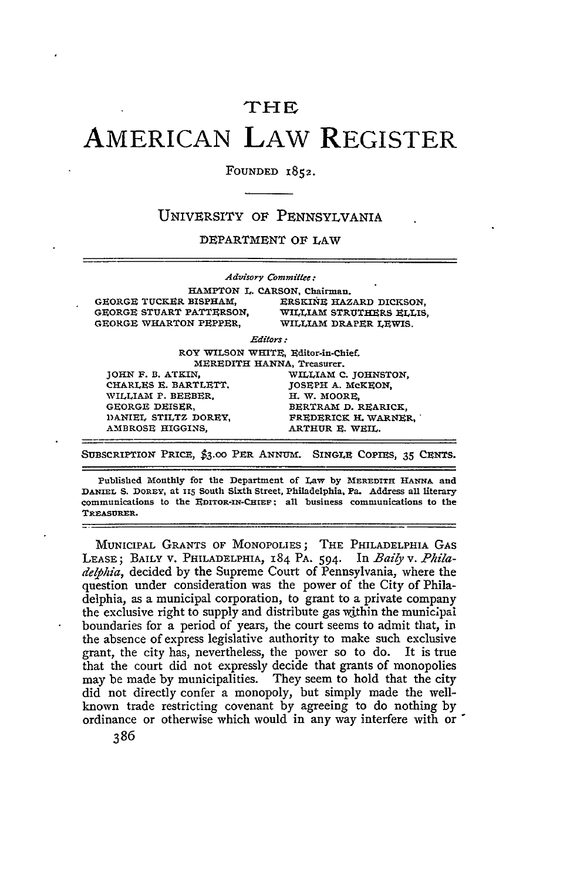## **THE**

## **AMERICAN** LAW REGISTER

FOUNDED 1852.

## UNIVERSITY OF PENNSYLVANIA

DEPARTMENT OF LAW

|                          | Advisory Committee:                |
|--------------------------|------------------------------------|
|                          | HAMPTON L. CARSON, Chairman.       |
| GEORGE TUCKER BISPHAM.   | ERSKINE HAZARD DICKSON,            |
| GEORGE STUART PATTERSON. | WILLIAM STRUTHERS ELLIS,           |
| GEORGE WHARTON PEPPER.   | WILLIAM DRAPER LEWIS.              |
|                          | Editors :                          |
|                          | ROY WILSON WHITE, Editor-in-Chief. |
|                          | MEREDITH HANNA, Treasurer.         |
| JOHN F. B. ATKIN.        | WILLIAM C. JOHNSTON,               |
| CHARLES E. BARTLETT,     | JOSEPH A. MCKEON,                  |
| WILLIAM P. BEEBER.       | H. W. MOORE.                       |
| GEORGE DEISER.           | BERTRAM D. REARICK,                |
| DANIEL STILTZ DOREY.     | FREDERICK H. WARNER.               |
| AMBROSE HIGGINS.         | ARTHUR E. WEIL.                    |

**SUBSCRIPTION PRICE, \$3.00** PER ANNUM. SINGLE COPIES, **35 CENTS.**

**Published Monthly for the Department of** Law **by MEREDITH HANNA and** DANIEL **S. DOREY, at Y15 South Sixth Street, Philadelphia, Pa. Address all literary communications to the EDITOR-IN-CHIEF all business communications to the TREASURER.**

MUNICIPAL GRANTS OF MONOPOLIES; THE PHILADELPHIA **GAS** LEASE; BAILY V. PHILADELPHIA, 184 PA. 594. In *Baily v. Phila*delphia, decided by the Supreme Court of Pennsylvania, where the question under consideration was the power of the City of Philadelphia, as a municipal corporation, to grant to a private company the exclusive right to supply and distribute gas within the municipal boundaries for a period of years, the court seems to admit that, in the absence of express legislative authority to make such exclusive grant, the city has, nevertheless, the power so to do. It is true that the court did not expressly decide that grants of monopolies may be made by municipalities. They seem to hold that the city did not directly confer a monopoly, but simply made the wellknown trade restricting covenant by agreeing to do nothing by ordinance or otherwise which would in any way interfere with or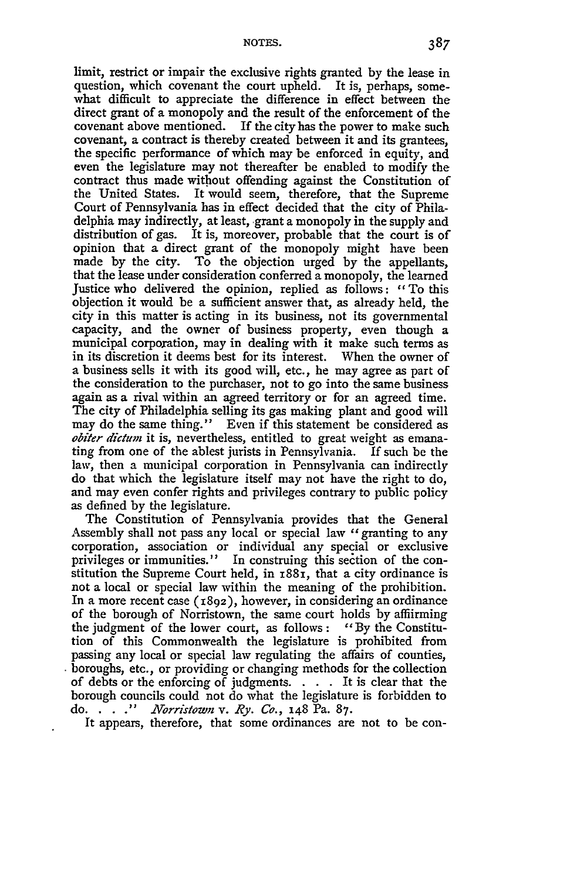limit, restrict or impair the exclusive rights granted by the lease in question, which covenant the court upheld. It is, perhaps, somewhat difficult to appreciate the difference in effect between the direct grant of a monopoly and the result of the enforcement of the covenant above mentioned. If the city has the power to make such covenant, a contract is thereby created between it and its grantees, the specific performance of which may be enforced in equity, and even the legislature may not thereafter be enabled to modify the contract thus made without offending against the Constitution of the United States. It would seem, therefore, that the Supreme Court of Pennsylvania has in effect decided that the city of Philadelphia may indirectly, at least, grant a monopoly in the supply and distribution of gas. It is, moreover, probable that the court is of opinion that a direct grant of the monopoly might have been made by the city. To the objection urged by the appellants, that the lease under consideration conferred a monopoly, the learned Justice who delivered the opinion, replied as follows: "To this objection it would be a sufficient answer that, as already held, the city in this matter is acting in its business, not its governmental capacity, and the owner of business property, even though a municipal corporation, may in dealing with it make such terms as in its discretion it deems best for its interest. When the owner of a business sells it with its good will, etc., he may agree as part of the consideration to the purchaser, not to go into the same business again as a rival within an agreed territory or for an agreed time. The city of Philadelphia selling its gas making plant and good will may do the same thing." Even if this statement be considered as *obiter dictum* it is, nevertheless, entitled to great weight as emanating from one of the ablest jurists in Pennsylvania. If such be the law, then a municipal corporation in Pennsylvania can indirectly do that which the legislature itself may not have the right to do, and may even confer rights and privileges contrary to public policy as defined by the legislature.

The Constitution of Pennsylvania provides that the General Assembly shall not pass any local or special law "granting to any corporation, association or individual any special or exclusive privileges or immunities." In construing this section of the con-<br>stitution the Supreme Court held, in 1881, that a city ordinance is stitution the Supreme Court held, in  $x88x$ , that a city ordinance is not a local or special law within the meaning of the prohibition. In a more recent case  $(1892)$ , however, in considering an ordinance of the borough of Norristown, the same court holds by affiirming the judgment of the lower court, as follows : *"By* the Constitution of this Commonwealth the legislature is prohibited from passing any local or special law regulating the affairs of counties, boroughs, etc., or providing or changing methods for the collection of debts or the enforcing of judgments. . **.** . It is clear that the borough councils could not do what the legislature is forbidden to do. . . **."** *Norristown v. Ry. Co.,* 148 Pa. 87.

It appears, therefore, that some ordinances are not to be con-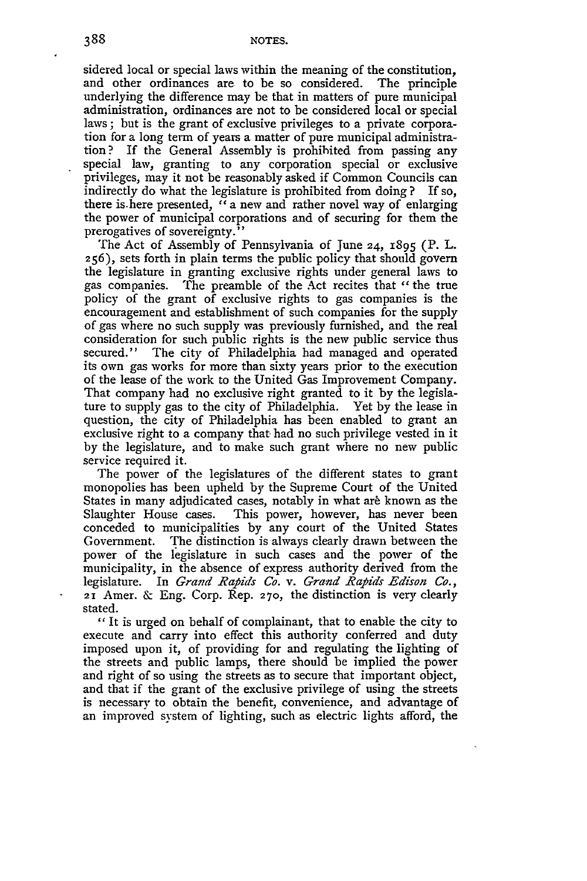sidered local or special laws within the meaning of the constitution, and other ordinances are to be so considered. The principle underlying the difference may be that in matters of pure municipal administration, ordinances are not to be considered local or special laws; but is the grant of exclusive privileges to a private corporation for a long term of years a matter of pure municipal administration? If the General Assembly is prohibited from passing any special law, granting to any corporation special or exclusive privileges, may it not be reasonably asked if Common Councils can indirectly do what the legislature is prohibited from doing **?** If so, there is.here presented, "a new and rather novel way of enlarging the power of municipal corporations and of securing for them the prerogatives of sovereignty."

The Act of Assembly of Pennsylvania of June 24, 1895 (P. L. **256),** sets forth in plain terms the public policy that should govern the legislature in granting exclusive rights under general laws to gas companies. The preamble of the Act recites that "the true policy of the grant of exclusive rights to gas companies is the encouragement and establishment of such companies for the supply of gas where no such supply was previously furnished, and the real consideration for such public rights is the new public service thus secured." The city of Philadelphia had managed and operated its own gas works for more than sixty years prior to the execution of the lease of the work to the United Gas Improvement Company. That company had no exclusive right granted to it by the legislature to supply gas to the city of Philadelphia. Yet by the lease in question, the city of Philadelphia has been enabled to grant an exclusive right to a company that had no such privilege vested in it by the legislature, and to make such grant where no new public service required it.

The power of the legislatures of the different states to grant monopolies has been upheld by the Supreme Court of the United States in many adjudicated cases, notably in what are known as the Slaughter House cases. This power, however, has never been conceded to municipalities by any court of the United States Government. The distinction is always clearly drawn between the power of the legislature in such cases and the power of the municipality, in the absence of express authority derived from the legislature. In *Grand Rapids Co. v. Grand Rapids Edison Co.,* 21 Amer. & Eng. Corp. Rep. **270,** the distinction is very clearly stated.

" It is urged on behalf of complainant, that to enable the city to execute and carry into effect this authority conferred and duty imposed upon it, of providing for and regulating the lighting of the streets and public lamps, there should be implied the power and right of so using the streets as to secure that important object, and that if the grant of the exclusive privilege of using the streets is necessary to obtain the benefit, convenience, and advantage of an improved system of lighting, such as electric lights afford, the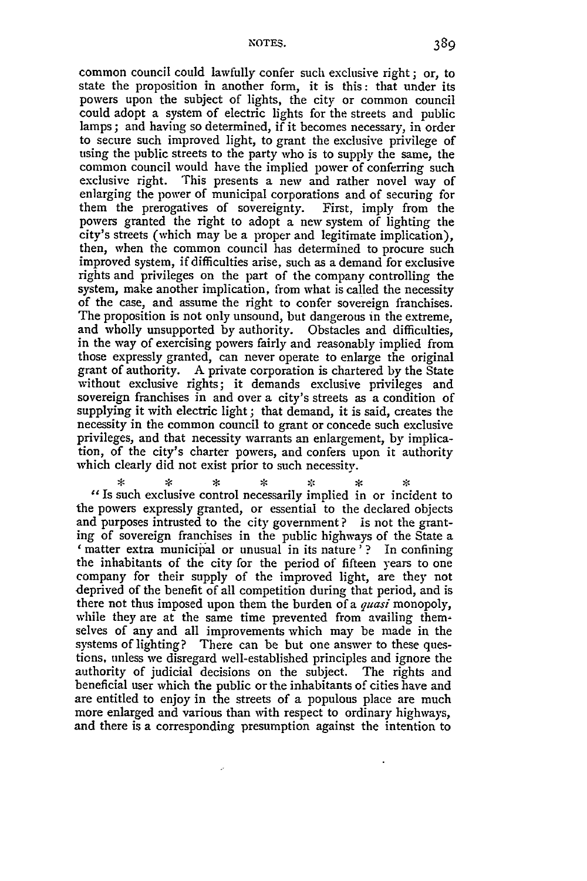common council could lawfully confer such exclusive right; or, to state the proposition in another form, it is this: that under its powers upon the subject of lights, the city or common council could adopt a system of electric lights for the streets and public lamps; and having so determined, if it becomes necessary, in order to secure such improved light, to grant the exclusive privilege of using the public streets to the party who is to supply the same, the common council would have the implied power of conferring such exclusive right. This presents a new and rather novel way of enlarging the power of municipal corporations and of securing for them the prerogatives of sovereignty. First, imply from the powers granted the right to adopt a new system of lighting the city's streets (which may be a proper and legitimate implication), then, when the common council has determined to procure such improved system, if difficulties arise, such as a demand for exclusive rights and privileges on the part of the company controlling the system, make another implication, from what is called the necessity of the case, and assume the right to confer sovereign franchises. The proposition is not only unsound, but dangerous in the extreme, and wholly unsupported by authority. Obstacles and difficulties, in the way of exercising powers fairly and reasonably implied from those expressly granted, can never operate to enlarge the original grant of authority. A private corporation is chartered by the State without exclusive rights; it demands exclusive privileges and sovereign franchises in and over a city's streets as a condition of supplying it with electric light; that demand, it is said, creates the necessity in the common council to grant or concede such exclusive privileges, and that necessity warrants an enlargement, by implication, of the city's charter powers, and confers upon it authority which clearly did not exist prior to such necessity.

 $\mathbf{x}$  $\star$ ☆  $\mathcal{L}$  $\star$ *"Is* such exclusive control necessarily implied in or incident to the powers expressly granted, or essential to the declared objects and purposes intrusted to the city government? is not the grant- ing of sovereign franchises in the public highways of the State a *'* matter extra municipal or unusual in its nature'? In confining the inhabitants of the city for the period of fifteen years to one company for their supply of the improved light, are they not deprived of the benefit of all competition during that period, and is there not thus imposed upon them the burden of a *quasi* monopoly, while they are at the same time prevented from availing themselves of any and all improvements which may be made in the systems of lighting? There can be but one answer to these questions, unless we disregard well-established principles and ignore the authority of judicial decisions on the subject. The rights and beneficial user which the public or the inhabitants of cities have and are entitled to enjoy in the streets of a populous place are much more enlarged and various than with respect to ordinary highways, and there is a corresponding presumption against the intention to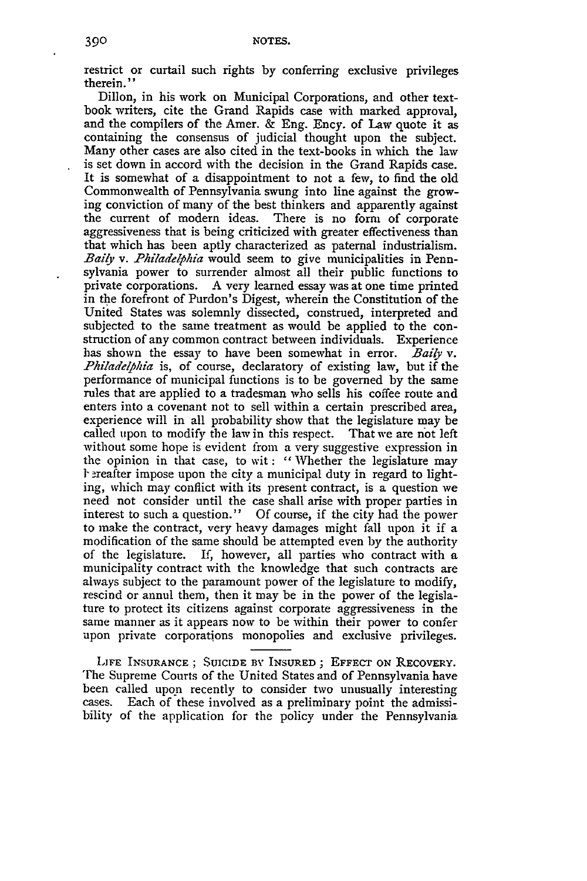restrict or curtail such rights by conferring exclusive privileges therein."

Dillon, in his work on Municipal Corporations, and other textbook writers, cite the Grand Rapids case with marked approval, and the compilers of the Amer. & Eng. Ency. of Law quote it as containing the consensus of judicial thought upon the subject. Many other cases are also cited in the text-books in which the law is set down in accord with the decision in the Grand Rapids case. It is somewhat of a disappointment to not a few, to find the old Commonwealth of Pennsylvania swung into line against the growing conviction of many of the best thinkers and apparently against the current of modern ideas. There is no form of corporate aggressiveness that is being criticized with greater effectiveness than that which has been aptly characterized as paternal industrialism. *Baily v. Philadelphia* would seem to give municipalities in Pennsylvania power to surrender almost all their public functions to private corporations. A very learned essay was at one time printed in the forefront of Purdon's Digest, wherein the Constitution of the United States was solemnly dissected, construed, interpreted and subjected to the same treatment as would be applied to the con- struction of any common contract between individuals. Experience has shown the essay to have been somewhat in error. *Baiy v. Philadelphia* is, of course, declaratory of existing law, but if the performance of municipal functions is to be governed by the same rules that are applied to a tradesman who sells his coffee route and enters into a covenant not to sell within a certain prescribed area, experience will in all probability show that the legislature may be called upon to modify the law in this respect. That we are not left without some hope is evident from a very suggestive expression in the opinion in that case, to wit: "Whether the legislature may **l-** reafter impose upon the city a municipal duty in regard to lighting, which may conflict with its present contract, is a question we need not consider until the case shall arise with proper parties in interest to such a question." Of course, if the city had the power to make the contract, very heavy damages might fall upon it if a modification of the same should be attempted even by the authority of the legislature. If, however, all parties who contract with a municipality contract with the knowledge that such contracts are always subject to the paramount power of the legislature to modify, rescind or annul them, then it may be in the power of the legislature to protect its citizens against corporate aggressiveness in the same manner as it appears now to be within their power to confer upon private corporations monopolies and exclusive privileges.

**LIFE INSURANCE;** SUICIDE *BY* INSURED; **EFFECT ON** RECOVERY. The Supreme Courts of the United States and of Pennsylvania have been called upon recently to consider two unusually interesting cases. Each of these involved as a preliminary point the admissibility of the application for the policy under the Pennsylvania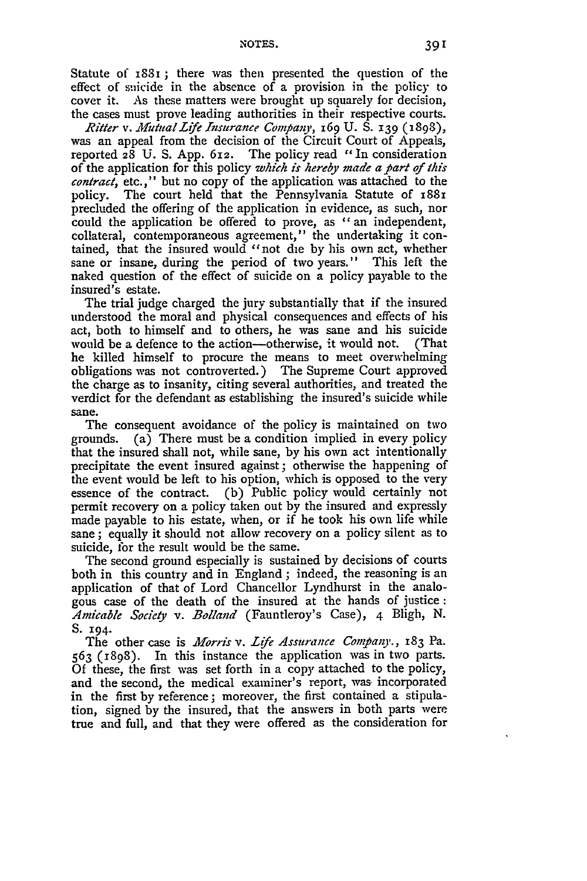Statute of 1881 ; there was then presented the question of the effect of suicide in the absence of a provision in the policy to cover it. As these matters were brought up squarely for decision, the cases must prove leading authorities in their respective courts.

*Ritter v. Mutual Life Insurance Company*, 169 U. S. 139 (1898), was an appeal from the decision of the Circuit Court of Appeals, reported **28** U. S. App. **612.** The policy read "In consideration of the application for this policy *which is hereby made a part of this contract,* etc.," but no copy of the application was attached to the policy. The court held that the Pennsylvania Statute of 1881 precluded the offering of the application in evidence, as such, nor could the application be offered to prove, as "an independent, collateral, contemporaneous agreement," the undertaking it contained, that the insured would "not die by his own act, whether sane or insane, during the period of two years." This left the naked question of the effect of suicide on a policy payable to the insured's estate.

The trial judge charged the jury substantially that if the insured understood the moral and physical consequences and effects of his act, both to himself and to others, he was sane and his suicide would be a defence to the action---otherwise, it would not. (That he killed himself to procure the means to meet overwhelming obligations was not controverted.) The Supreme Court approved the charge as to insanity, citing several authorities, and treated the verdict for the defendant as establishing the insured's suicide while sane.

The consequent avoidance of the policy is maintained on two grounds. (a) There must be a condition implied in every policy that the insured shall not, while sane, by his own act intentionally precipitate the event insured against; otherwise the happening of the event would be left to his option, which is opposed to the very essence of the contract. (b) Public policy would certainly not permit recovery on a policy taken out by the insured and expressly made payable to his estate, when, or if he took his own life while sane; equally it should not allow recovery on a policy silent as to suicide, for the result would be the same.

The second ground especially is sustained by decisions of courts both in this country and in England ; indeed, the reasoning is an application of that of Lord Chancellor Lyndhurst in the analogous case of the death of the insured at the bands of justice **:** *Amicable Society v. Bolland* (Fauntleroy's Case), 4 Bligh, N. **S.** 194.

The other case is *Morris v. Life Assurance Company.*, **183 Pa.** 563 **(1898).** In this instance the application was in two parts. Of these, the first was set forth in a copy attached to the policy, and the second, the medical examiner's report, was incorporated in the first by reference; moreover, the first contained a stipulation, signed by the insured, that the answers in both parts were true and full, and that they were offered as the consideration for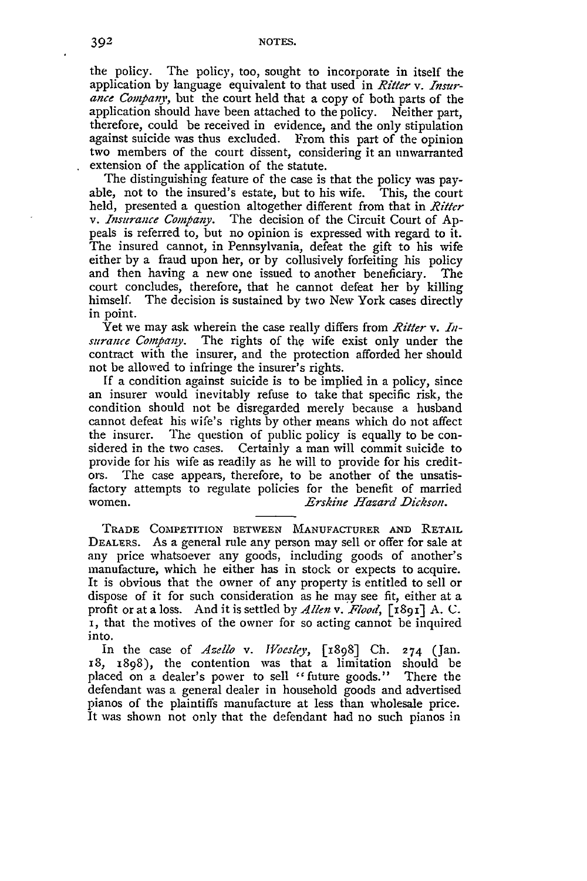the policy. The policy, too, sought to incorporate in itself the application by language equivalent to that used in *Riter v. Insurance Company,* but the court held that a copy of both parts of the application should have been attached to the policy. Neither part, therefore, could be received in evidence, and the only stipulation against suicide was thus excluded. From this part of the opinion two members of the court dissent, considering it an unwarranted extension of the application of the statute.

The distinguishing feature of the case is that the policy was payable, not to the insured's estate, but to his wife. This, the court held, presented a question altogether different from that in *Ritter v. Insurance Company.* The decision of the Circuit Court of Appeals is referred to, but no opinion is expressed with regard to it. The insured cannot, in Pennsylvania, defeat the gift to his wife either by a fraud upon her, or by collusively forfeiting his policy and then having a new one issued to another beneficiary. The court concludes, therefore, that he cannot defeat her by killing himself. The decision is sustained by two New York cases directly in point.

Yet we may ask wherein the case really differs from *Ritter v.* Insurance *Compaiy.* The rights of the wife exist only under the contract with the insurer, and the protection afforded her should not be allowed to infringe the insurer's rights.

If a condition against suicide is to be implied in a policy, since an insurer would inevitably refuse to take that specific risk, the condition should not be disregarded merely because a husband cannot defeat his wife's rights by other means which do not affect the insurer. The question of public policy is equally to be considered in the two cases. Certainly a man will commit suicide to provide for his wife as readily as he will to provide for his creditors. The case appears, therefore, to be another of the unsatisfactory attempts to regulate policies for the benefit of married women. *Erskine Hazard Dickson.*

TRADE COMPETITION **BETWEEN MANUFACTURER AND** RETAIL DEALERS. As a general rule any person may sell or offer for sale at any price whatsoever any goods, including goods of another's manufacture, which he either has in stock or expects to acquire. It is obvious that the owner of any property is entitled to sell or dispose of it for such consideration as he may see fit, either at a profit or at a loss. And it is settled by *AZlen v. Flood,* **[i891] A.** C. **i,** that the motives of the owner for so acting cannot be inquired into.

In the case of *Azello v. Wioesley,* [1898] Ch. 274 (Jan. 18, 1898), the contention was that a limitation should be placed on a dealer's power to sell "future goods." There the defendant was a general dealer in household goods and advertised pianos of the plaintiffs manufacture at less than wholesale price. It was shown not only that the defendant had no such pianos in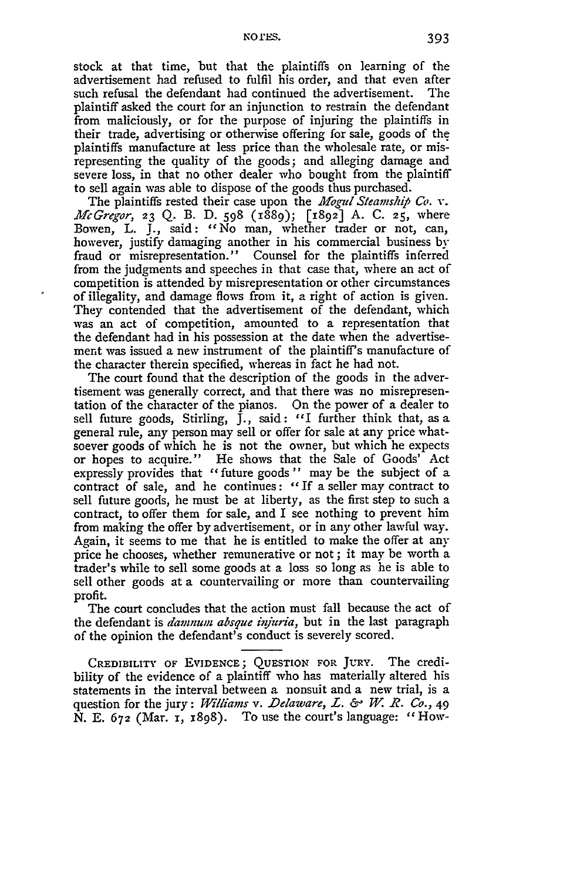stock at that time, but that the plaintiffs on learning of the advertisement had refused to fulfil his order, and that even after such refusal the defendant had continued the advertisement. The plaintiff asked the court for an injunction to restrain the defendant from maliciously, or for the purpose of injuring the plaintiffs in their trade, advertising or otherwise offering for sale, goods of the plaintiffs manufacture at less price than the wholesale rate, or misrepresenting the quality of the goods; and alleging damage and severe loss, in that no other dealer who bought from the plaintiff to sell again was able to dispose of the goods thus purchased.

The plaintiffs rested their case upon the *Mogul Steamship* **Co.** *v. McGregor,* **23** Q. B. D. 598 (1889); **[x892]** A. C. **25,** where Bowen, L. **J.,** said: "No man, whether trader or not, can, however, justify damaging another in his commercial business by fraud or misrepresentation." Counsel for the plaintiffs inferred from the judgments and speeches in that case that, where an act of competition is attended by misrepresentation or other circumstances of illegality, and damage flows from it, a right of action is given. They contended that the advertisement of the defendant, which was an act of competition, amounted to a representation that the defendant had in his possession at the date when the advertisement was issued a new instrument of the plaintiff's manufacture of the character therein specified, whereas in fact he had not.

è

The court found that the description of the goods in the advertisement was generally correct, and that there was no misrepresentation of the character of the pianos. On the power of a dealer to sell future goods, Stirling, J., said: "I further think that, as a general rule, any person may sell or offer for sale at any price whatsoever goods of which he is not the owner, but which he expects or hopes to acquire." He shows that the Sale of Goods' Act expressly provides that "future goods" may be the subject of a contract of sale, and he continues: *"If* a seller may contract to sell future goods, he must be at liberty, as the first step to such a contract, to offer them for sale, and I see nothing to prevent him from making the offer by advertisement, or in any other lawful way. Again, it seems to me that he is entitled to make the offer at any price he chooses, whether remunerative or not; it may be worth a trader's while to sell some goods at a loss so long as he is able to sell other goods at a countervailing or more than countervailing profit.

The court concludes that the action must fall because the act of the defendant is *damnwn absque inzjuria,* but in the last paragraph of the opinion the defendant's conduct is severely scored.

CREDIBILITY OF **EVIDENCE; QUESTION** FOR JURY. The credibility of the evidence of a plaintiff who has materially altered his statements in the interval between a nonsuit and a new trial, is a question for the jury: *Williams v. Delaware, 1. &* W. *R. CO.,* 49 N. E. **672** (Mar. **x,** 1898). To use the court's language: "How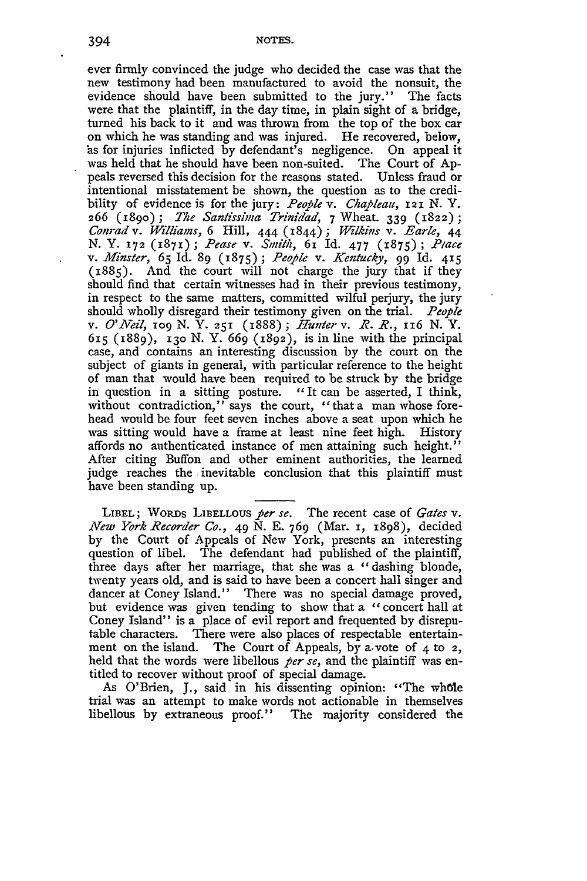**NOTES.**

ever firmly convinced the judge who decided the case was that the new testimony had been manufactured to avoid the nonsuit, the evidence should have been submitted to the jury." The facts were that the plaintiff, in the day time, in plain sight of a bridge, turned his back to it and was thrown from the top of the box car on which he was standing and was injured. He recovered, below, as for injuries inflicted by defendant's negligence. On appeal it was held that he should have been non-suited. The Court of Appeals reversed this decision for the reasons stated. Unless fraud or intentional misstatement be shown, the question as to the credibility of evidence is for the jury: *People v. Chapleau,* 121 *N.* Y. 266 **(189o) ;** *The Santissima Trinidad,* 7 Wheat. **339** (1822); *Conrad v. Williams,* 6 Hill, 444 (1844); *Wilkins v. Earle, 44* **N.** Y. **172 (1871)** ; *Pease* v. Smith, **<sup>61</sup>**Id. 477 (1875) **;** *Piace v. .Minster,* 65 Id. 89 (1875); *People* v. *Kentucky,* 99 Id. **415** (1885). And the court will not charge the jury that if they should find that certain witnesses had in their previous testimony, in respect to the same matters, committed wilful perjury, the jury should wholly disregard their testimony given on the trial. *People v. O'Neil,* **1O9** N. Y. **251** (1888) ; *Hunter v. R. R.,* 116 N. Y. 615 (1889), 13o N. Y. 669 (1892), is in line with the principal case, and contains an interesting discussion by the court on the subject of giants in general, with particular reference to the height of man that would have been required to be struck by the bridge in question in a sitting posture. *"It* can be asserted, I think, without contradiction," says the court, "that a man whose forehead would be four feet seven inches above a seat upon which he was sitting would have a frame at least nine feet high. History affords no authenticated instance of men attaining such height." After citing Buffon and other eminent authorities, the learned judge reaches the inevitable conclusion that this plaintiff must have been standing up.

LIBEL; WORDs **LIBELLOUS** *per se.* The recent case of *Gates v. New York Recorder CO.,* **49** N. **E.** 769 (Mar. **I,** 1898), decided **by** the Court of Appeals of New York, presents an interesting question of libel. The defendant had published of the plaintiff, three days after her marriage, that she was a "dashing blonde, twenty years old, and is said to have been a concert hall singer and dancer at Coney Island." There was no special damage proved, but evidence was given tending to show that a "concert hall at Coney Island" is a place of evil report and frequented by disreputable characters. There were also places of respectable entertainment on the island. The Court of Appeals, by a vote of  $4$  to  $2$ , held that the words were libellous *per se,* and the plaintiff was entitled to recover without proof of special damage.

As O'Brien, J., said in his dissenting opinion: "The whole trial was an attempt to make words not actionable in themselves libellous by extraneous proof." The majority considered the